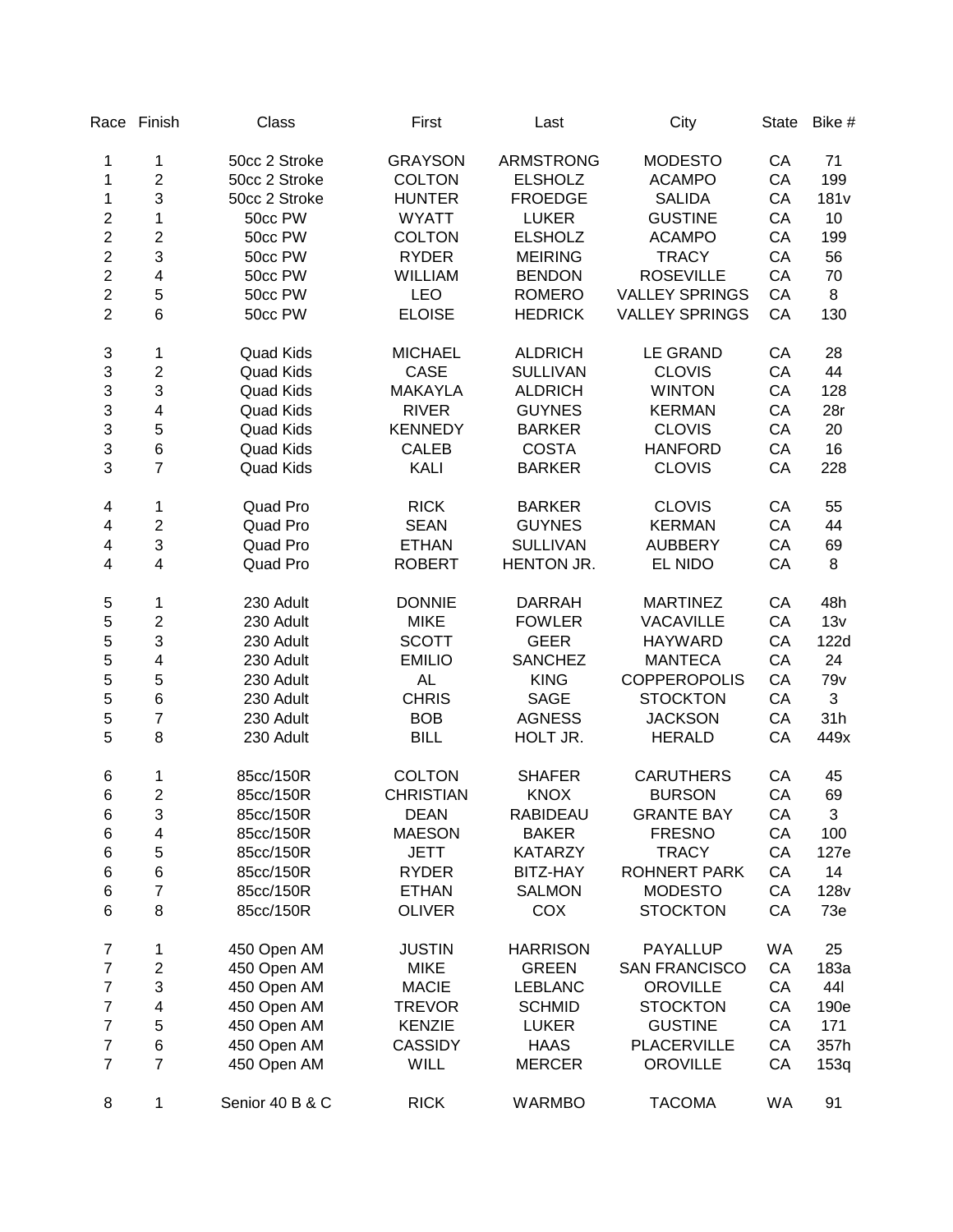|                         | Race Finish               | Class            | First            | Last             | City                  | <b>State</b> | Bike #           |
|-------------------------|---------------------------|------------------|------------------|------------------|-----------------------|--------------|------------------|
| 1                       | 1                         | 50cc 2 Stroke    | <b>GRAYSON</b>   | <b>ARMSTRONG</b> | <b>MODESTO</b>        | CA           | 71               |
| 1                       | $\overline{2}$            | 50cc 2 Stroke    | <b>COLTON</b>    | <b>ELSHOLZ</b>   | <b>ACAMPO</b>         | CA           | 199              |
| 1                       | 3                         | 50cc 2 Stroke    | <b>HUNTER</b>    | <b>FROEDGE</b>   | <b>SALIDA</b>         | CA           | 181 <sub>v</sub> |
| $\overline{c}$          | $\mathbf{1}$              | 50cc PW          | <b>WYATT</b>     | <b>LUKER</b>     | <b>GUSTINE</b>        | CA           | 10               |
| $\overline{c}$          | $\overline{c}$            | 50cc PW          | <b>COLTON</b>    | <b>ELSHOLZ</b>   | <b>ACAMPO</b>         | CA           | 199              |
| $\overline{c}$          | $\mathfrak{S}$            | 50cc PW          | <b>RYDER</b>     | <b>MEIRING</b>   | <b>TRACY</b>          | CA           | 56               |
| $\overline{c}$          | 4                         | 50cc PW          | <b>WILLIAM</b>   | <b>BENDON</b>    | <b>ROSEVILLE</b>      | CA           | 70               |
| $\overline{2}$          | 5                         | 50cc PW          | <b>LEO</b>       | <b>ROMERO</b>    | <b>VALLEY SPRINGS</b> | CA           | 8                |
| $\overline{2}$          | $6\phantom{1}6$           | 50cc PW          | <b>ELOISE</b>    | <b>HEDRICK</b>   | <b>VALLEY SPRINGS</b> | CA           | 130              |
| 3                       | 1                         | <b>Quad Kids</b> | <b>MICHAEL</b>   | <b>ALDRICH</b>   | <b>LE GRAND</b>       | CA           | 28               |
| 3                       | $\boldsymbol{2}$          | <b>Quad Kids</b> | <b>CASE</b>      | <b>SULLIVAN</b>  | <b>CLOVIS</b>         | CA           | 44               |
| 3                       | 3                         | <b>Quad Kids</b> | <b>MAKAYLA</b>   | <b>ALDRICH</b>   | <b>WINTON</b>         | CA           | 128              |
| 3                       | $\overline{\mathbf{4}}$   | <b>Quad Kids</b> | <b>RIVER</b>     | <b>GUYNES</b>    | <b>KERMAN</b>         | CA           | 28r              |
| 3                       | 5                         | <b>Quad Kids</b> | <b>KENNEDY</b>   | <b>BARKER</b>    | <b>CLOVIS</b>         | CA           | 20               |
| 3                       | $\,6$                     | <b>Quad Kids</b> | <b>CALEB</b>     | <b>COSTA</b>     | <b>HANFORD</b>        | CA           | 16               |
| 3                       | $\overline{7}$            | <b>Quad Kids</b> | <b>KALI</b>      | <b>BARKER</b>    | <b>CLOVIS</b>         | CA           | 228              |
| 4                       | 1                         | Quad Pro         | <b>RICK</b>      | <b>BARKER</b>    | <b>CLOVIS</b>         | CA           | 55               |
| $\overline{\mathbf{4}}$ | $\boldsymbol{2}$          | Quad Pro         | <b>SEAN</b>      | <b>GUYNES</b>    | <b>KERMAN</b>         | CA           | 44               |
| $\overline{\mathbf{4}}$ | $\mathbf{3}$              | Quad Pro         | <b>ETHAN</b>     | <b>SULLIVAN</b>  | <b>AUBBERY</b>        | CA           | 69               |
| 4                       | $\overline{\mathbf{4}}$   | Quad Pro         | <b>ROBERT</b>    | HENTON JR.       | EL NIDO               | CA           | 8                |
| 5                       | 1                         | 230 Adult        | <b>DONNIE</b>    | <b>DARRAH</b>    | <b>MARTINEZ</b>       | CA           | 48h              |
| 5                       | $\boldsymbol{2}$          | 230 Adult        | <b>MIKE</b>      | <b>FOWLER</b>    | <b>VACAVILLE</b>      | CA           | 13v              |
| 5                       | 3                         | 230 Adult        | <b>SCOTT</b>     | <b>GEER</b>      | <b>HAYWARD</b>        | CA           | 122d             |
| 5                       | $\overline{\mathbf{4}}$   | 230 Adult        | <b>EMILIO</b>    | <b>SANCHEZ</b>   | <b>MANTECA</b>        | CA           | 24               |
| 5                       | 5                         | 230 Adult        | <b>AL</b>        | <b>KING</b>      | <b>COPPEROPOLIS</b>   | CA           | 79 <sub>v</sub>  |
| 5                       | $\,$ 6 $\,$               | 230 Adult        | <b>CHRIS</b>     | <b>SAGE</b>      | <b>STOCKTON</b>       | CA           | 3                |
| 5                       | $\boldsymbol{7}$          | 230 Adult        | <b>BOB</b>       | <b>AGNESS</b>    | <b>JACKSON</b>        | CA           | 31h              |
| 5                       | 8                         | 230 Adult        | <b>BILL</b>      | HOLT JR.         | <b>HERALD</b>         | CA           | 449x             |
| 6                       | 1                         | 85cc/150R        | <b>COLTON</b>    | <b>SHAFER</b>    | <b>CARUTHERS</b>      | CA           | 45               |
| 6                       | $\overline{c}$            | 85cc/150R        | <b>CHRISTIAN</b> | <b>KNOX</b>      | <b>BURSON</b>         | CA           | 69               |
| 6                       | $\ensuremath{\mathsf{3}}$ | 85cc/150R        | <b>DEAN</b>      | RABIDEAU         | <b>GRANTE BAY</b>     | CA           | $\mathfrak{S}$   |
| 6                       | 4                         | 85cc/150R        | <b>MAESON</b>    | <b>BAKER</b>     | <b>FRESNO</b>         | CA           | 100              |
| 6                       | 5                         | 85cc/150R        | <b>JETT</b>      | <b>KATARZY</b>   | <b>TRACY</b>          | CA           | 127e             |
| 6                       | $\,$ 6 $\,$               | 85cc/150R        | <b>RYDER</b>     | BITZ-HAY         | ROHNERT PARK          | CA           | 14               |
| $\,6$                   | $\overline{7}$            | 85cc/150R        | <b>ETHAN</b>     | <b>SALMON</b>    | <b>MODESTO</b>        | CA           | <b>128v</b>      |
| $\,6$                   | 8                         | 85cc/150R        | <b>OLIVER</b>    | COX              | <b>STOCKTON</b>       | CA           | 73e              |
| $\overline{7}$          | 1                         | 450 Open AM      | <b>JUSTIN</b>    | <b>HARRISON</b>  | <b>PAYALLUP</b>       | WA           | 25               |
| 7                       | $\boldsymbol{2}$          | 450 Open AM      | <b>MIKE</b>      | <b>GREEN</b>     | <b>SAN FRANCISCO</b>  | CA           | 183a             |
| 7                       | 3                         | 450 Open AM      | <b>MACIE</b>     | <b>LEBLANC</b>   | <b>OROVILLE</b>       | CA           | 441              |
| 7                       | 4                         | 450 Open AM      | <b>TREVOR</b>    | <b>SCHMID</b>    | <b>STOCKTON</b>       | CA           | 190e             |
| $\overline{\mathbf{7}}$ | 5                         | 450 Open AM      | <b>KENZIE</b>    | <b>LUKER</b>     | <b>GUSTINE</b>        | CA           | 171              |
| $\overline{7}$          | $\,6$                     | 450 Open AM      | <b>CASSIDY</b>   | <b>HAAS</b>      | PLACERVILLE           | CA           | 357h             |
| $\overline{7}$          | $\overline{7}$            | 450 Open AM      | WILL             | <b>MERCER</b>    | <b>OROVILLE</b>       | CA           | 153q             |
| 8                       | 1                         | Senior 40 B & C  | <b>RICK</b>      | <b>WARMBO</b>    | <b>TACOMA</b>         | WA           | 91               |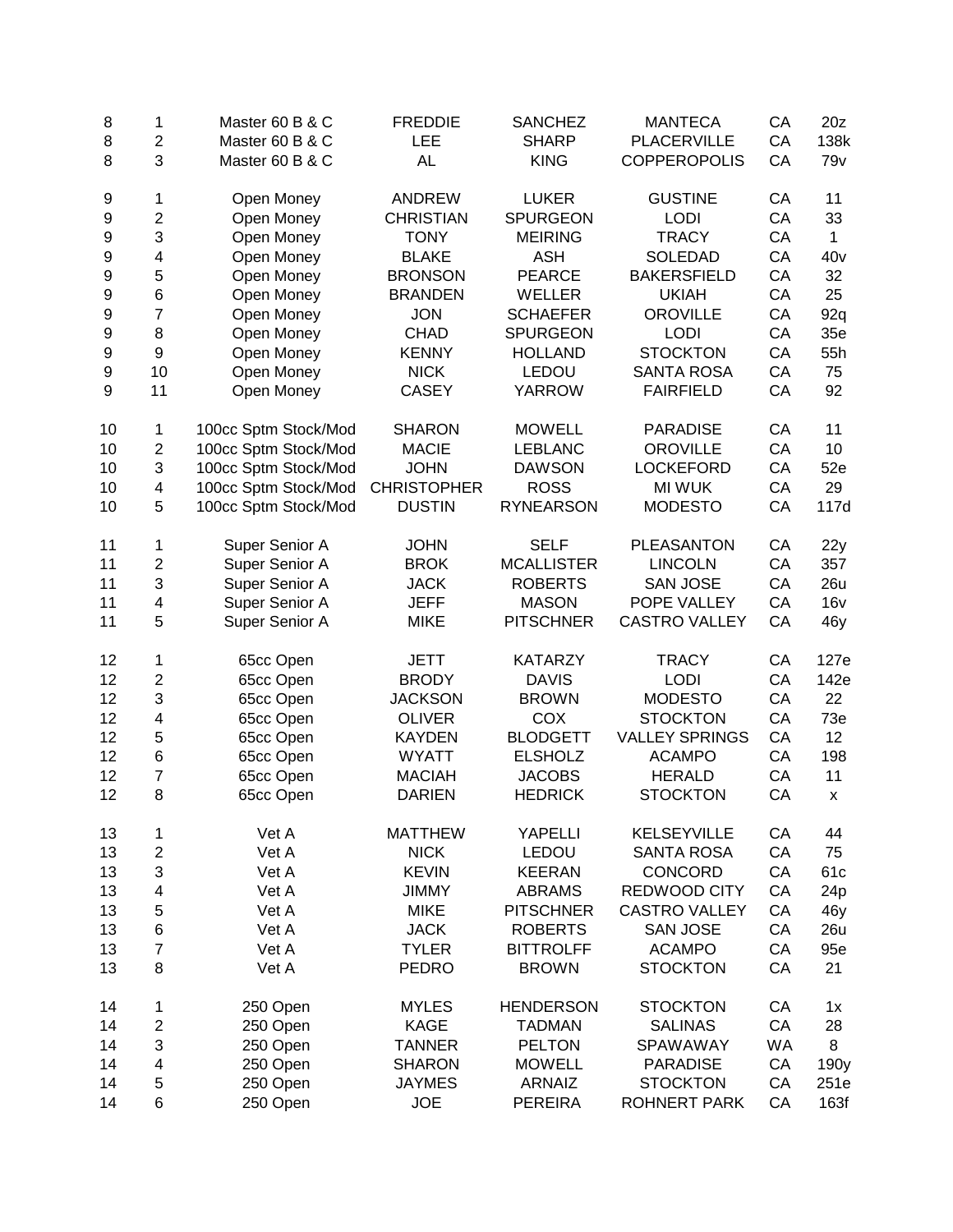| 8  | 1                        | Master 60 B & C      | <b>FREDDIE</b>     | <b>SANCHEZ</b>    | <b>MANTECA</b>        | CA        | 20z             |
|----|--------------------------|----------------------|--------------------|-------------------|-----------------------|-----------|-----------------|
| 8  | 2                        | Master 60 B & C      | LEE                | <b>SHARP</b>      | PLACERVILLE           | CA        | 138k            |
| 8  | 3                        | Master 60 B & C      | <b>AL</b>          | <b>KING</b>       | <b>COPPEROPOLIS</b>   | CA        | 79 <sub>v</sub> |
| 9  | 1                        | Open Money           | <b>ANDREW</b>      | <b>LUKER</b>      | <b>GUSTINE</b>        | CA        | 11              |
| 9  | 2                        | Open Money           | <b>CHRISTIAN</b>   | <b>SPURGEON</b>   | <b>LODI</b>           | CA        | 33              |
| 9  | 3                        | Open Money           | <b>TONY</b>        | <b>MEIRING</b>    | <b>TRACY</b>          | CA        | 1               |
| 9  | 4                        | Open Money           | <b>BLAKE</b>       | <b>ASH</b>        | <b>SOLEDAD</b>        | CA        | 40v             |
| 9  | 5                        | Open Money           | <b>BRONSON</b>     | <b>PEARCE</b>     | <b>BAKERSFIELD</b>    | CA        | 32              |
| 9  | 6                        | Open Money           | <b>BRANDEN</b>     | WELLER            | <b>UKIAH</b>          | CA        | 25              |
| 9  | $\overline{7}$           | Open Money           | <b>JON</b>         | <b>SCHAEFER</b>   | <b>OROVILLE</b>       | CA        | 92q             |
| 9  | 8                        | Open Money           | <b>CHAD</b>        | <b>SPURGEON</b>   | <b>LODI</b>           | CA        | 35e             |
| 9  | 9                        | Open Money           | <b>KENNY</b>       | <b>HOLLAND</b>    | <b>STOCKTON</b>       | CA        | 55h             |
| 9  | 10                       | Open Money           | <b>NICK</b>        | LEDOU             | <b>SANTA ROSA</b>     | CA        | 75              |
| 9  | 11                       | Open Money           | <b>CASEY</b>       | <b>YARROW</b>     | <b>FAIRFIELD</b>      | CA        | 92              |
| 10 | 1                        | 100cc Sptm Stock/Mod | <b>SHARON</b>      | <b>MOWELL</b>     | <b>PARADISE</b>       | CA        | 11              |
| 10 | 2                        | 100cc Sptm Stock/Mod | <b>MACIE</b>       | <b>LEBLANC</b>    | <b>OROVILLE</b>       | CA        | 10              |
| 10 | 3                        | 100cc Sptm Stock/Mod | <b>JOHN</b>        | <b>DAWSON</b>     | <b>LOCKEFORD</b>      | CA        | 52e             |
| 10 | 4                        | 100cc Sptm Stock/Mod | <b>CHRISTOPHER</b> | <b>ROSS</b>       | <b>MI WUK</b>         | CA        | 29              |
| 10 | 5                        | 100cc Sptm Stock/Mod | <b>DUSTIN</b>      | <b>RYNEARSON</b>  | <b>MODESTO</b>        | CA        | 117d            |
| 11 | 1                        | Super Senior A       | <b>JOHN</b>        | <b>SELF</b>       | <b>PLEASANTON</b>     | CA        | 22y             |
| 11 | $\overline{c}$           | Super Senior A       | <b>BROK</b>        | <b>MCALLISTER</b> | <b>LINCOLN</b>        | CA        | 357             |
| 11 | 3                        | Super Senior A       | <b>JACK</b>        | <b>ROBERTS</b>    | <b>SAN JOSE</b>       | CA        | 26u             |
| 11 | 4                        | Super Senior A       | <b>JEFF</b>        | <b>MASON</b>      | POPE VALLEY           | CA        | 16v             |
| 11 | 5                        | Super Senior A       | <b>MIKE</b>        | <b>PITSCHNER</b>  | <b>CASTRO VALLEY</b>  | CA        | 46y             |
| 12 | 1                        | 65cc Open            | <b>JETT</b>        | <b>KATARZY</b>    | <b>TRACY</b>          | CA        | 127e            |
| 12 | 2                        | 65cc Open            | <b>BRODY</b>       | <b>DAVIS</b>      | <b>LODI</b>           | CA        | 142e            |
| 12 | 3                        | 65cc Open            | <b>JACKSON</b>     | <b>BROWN</b>      | <b>MODESTO</b>        | CA        | 22              |
| 12 | 4                        | 65cc Open            | <b>OLIVER</b>      | COX               | <b>STOCKTON</b>       | CA        | 73e             |
| 12 | 5                        | 65cc Open            | <b>KAYDEN</b>      | <b>BLODGETT</b>   | <b>VALLEY SPRINGS</b> | CA        | 12              |
| 12 | 6                        | 65cc Open            | <b>WYATT</b>       | <b>ELSHOLZ</b>    | <b>ACAMPO</b>         | CA        | 198             |
| 12 | $\overline{7}$           | 65cc Open            | <b>MACIAH</b>      | <b>JACOBS</b>     | <b>HERALD</b>         | CA        | 11              |
| 12 | 8                        | 65cc Open            | <b>DARIEN</b>      | <b>HEDRICK</b>    | <b>STOCKTON</b>       | CA        | x               |
| 13 | 1                        | Vet A                | <b>MATTHEW</b>     | YAPELLI           | <b>KELSEYVILLE</b>    | CA        | 44              |
| 13 | $\overline{\mathbf{c}}$  | Vet A                | <b>NICK</b>        | <b>LEDOU</b>      | <b>SANTA ROSA</b>     | CA        | 75              |
| 13 | 3                        | Vet A                | <b>KEVIN</b>       | <b>KEERAN</b>     | CONCORD               | CA        | 61c             |
| 13 | 4                        | Vet A                | <b>JIMMY</b>       | <b>ABRAMS</b>     | REDWOOD CITY          | CA        | 24 <sub>p</sub> |
| 13 | 5                        | Vet A                | <b>MIKE</b>        | <b>PITSCHNER</b>  | <b>CASTRO VALLEY</b>  | CA        | 46y             |
| 13 | 6                        | Vet A                | <b>JACK</b>        | <b>ROBERTS</b>    | <b>SAN JOSE</b>       | CA        | 26u             |
| 13 | $\overline{7}$           | Vet A                | <b>TYLER</b>       | <b>BITTROLFF</b>  | <b>ACAMPO</b>         | CA        | 95e             |
| 13 | 8                        | Vet A                | <b>PEDRO</b>       | <b>BROWN</b>      | <b>STOCKTON</b>       | CA        | 21              |
| 14 | 1                        | 250 Open             | <b>MYLES</b>       | <b>HENDERSON</b>  | <b>STOCKTON</b>       | CA        | 1x              |
| 14 | $\overline{c}$           | 250 Open             | <b>KAGE</b>        | <b>TADMAN</b>     | <b>SALINAS</b>        | CA        | 28              |
| 14 | 3                        | 250 Open             | <b>TANNER</b>      | <b>PELTON</b>     | SPAWAWAY              | <b>WA</b> | 8               |
| 14 | $\overline{\mathcal{A}}$ | 250 Open             | <b>SHARON</b>      | <b>MOWELL</b>     | <b>PARADISE</b>       | CA        | 190y            |
| 14 | 5                        | 250 Open             | <b>JAYMES</b>      | <b>ARNAIZ</b>     | <b>STOCKTON</b>       | CA        | 251e            |
| 14 | 6                        | 250 Open             | <b>JOE</b>         | <b>PEREIRA</b>    | <b>ROHNERT PARK</b>   | CA        | 163f            |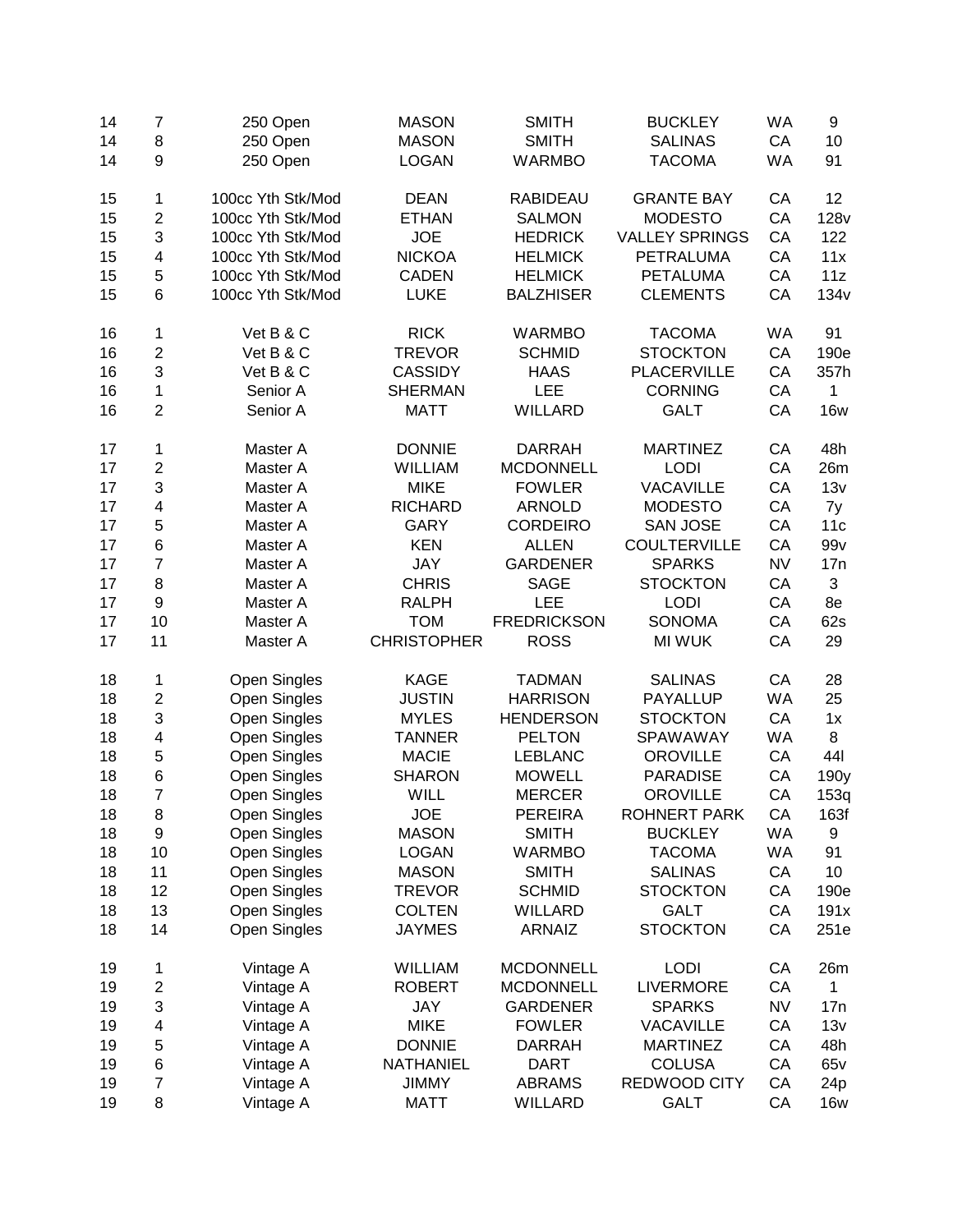| 14 | 7                        | 250 Open            | <b>MASON</b>       | <b>SMITH</b>       | <b>BUCKLEY</b>        | <b>WA</b> | 9                |
|----|--------------------------|---------------------|--------------------|--------------------|-----------------------|-----------|------------------|
| 14 | 8                        | 250 Open            | <b>MASON</b>       | <b>SMITH</b>       | <b>SALINAS</b>        | CA        | 10               |
| 14 | 9                        | 250 Open            | <b>LOGAN</b>       | <b>WARMBO</b>      | <b>TACOMA</b>         | <b>WA</b> | 91               |
| 15 | 1                        | 100cc Yth Stk/Mod   | <b>DEAN</b>        | <b>RABIDEAU</b>    | <b>GRANTE BAY</b>     | CA        | 12               |
| 15 | $\overline{2}$           | 100cc Yth Stk/Mod   | <b>ETHAN</b>       | <b>SALMON</b>      | <b>MODESTO</b>        | CA        | <b>128v</b>      |
| 15 | 3                        | 100cc Yth Stk/Mod   | <b>JOE</b>         | <b>HEDRICK</b>     | <b>VALLEY SPRINGS</b> | CA        | 122              |
| 15 | 4                        | 100cc Yth Stk/Mod   | <b>NICKOA</b>      | <b>HELMICK</b>     | <b>PETRALUMA</b>      | CA        | 11x              |
| 15 | 5                        | 100cc Yth Stk/Mod   | <b>CADEN</b>       | <b>HELMICK</b>     | <b>PETALUMA</b>       | CA        | 11z              |
| 15 | 6                        | 100cc Yth Stk/Mod   | <b>LUKE</b>        | <b>BALZHISER</b>   | <b>CLEMENTS</b>       | CA        | 134 <sub>v</sub> |
|    |                          |                     |                    |                    |                       |           |                  |
| 16 | 1                        | Vet B & C           | <b>RICK</b>        | <b>WARMBO</b>      | <b>TACOMA</b>         | <b>WA</b> | 91               |
| 16 | $\overline{c}$           | Vet B & C           | <b>TREVOR</b>      | <b>SCHMID</b>      | <b>STOCKTON</b>       | CA        | 190e             |
| 16 | 3                        | Vet B & C           | <b>CASSIDY</b>     | <b>HAAS</b>        | <b>PLACERVILLE</b>    | CA        | 357h             |
| 16 | 1                        | Senior A            | <b>SHERMAN</b>     | LEE                | <b>CORNING</b>        | CA        | 1                |
| 16 | $\overline{2}$           | Senior A            | <b>MATT</b>        | <b>WILLARD</b>     | <b>GALT</b>           | CA        | <b>16w</b>       |
| 17 | 1                        | Master A            | <b>DONNIE</b>      | <b>DARRAH</b>      | <b>MARTINEZ</b>       | CA        | 48h              |
| 17 | $\overline{c}$           | Master A            | <b>WILLIAM</b>     | <b>MCDONNELL</b>   | <b>LODI</b>           | CA        | 26m              |
| 17 | 3                        | Master A            | <b>MIKE</b>        | <b>FOWLER</b>      | <b>VACAVILLE</b>      | CA        | 13v              |
| 17 | 4                        | Master A            | <b>RICHARD</b>     | <b>ARNOLD</b>      | <b>MODESTO</b>        | CA        | 7y               |
| 17 | 5                        | Master A            | <b>GARY</b>        | <b>CORDEIRO</b>    | <b>SAN JOSE</b>       | CA        | 11c              |
| 17 | 6                        | Master A            | <b>KEN</b>         | <b>ALLEN</b>       | <b>COULTERVILLE</b>   | CA        | 99v              |
| 17 | 7                        | Master A            | <b>JAY</b>         | <b>GARDENER</b>    | <b>SPARKS</b>         | <b>NV</b> | 17n              |
| 17 | 8                        | Master A            | <b>CHRIS</b>       | <b>SAGE</b>        | <b>STOCKTON</b>       | CA        | 3                |
| 17 | 9                        | Master A            | <b>RALPH</b>       | LEE                | <b>LODI</b>           | CA        | 8e               |
| 17 | 10                       | Master A            | <b>TOM</b>         | <b>FREDRICKSON</b> | <b>SONOMA</b>         | CA        | 62s              |
| 17 | 11                       | Master A            | <b>CHRISTOPHER</b> | <b>ROSS</b>        | <b>MI WUK</b>         | CA        | 29               |
|    |                          |                     |                    |                    |                       |           |                  |
| 18 | 1                        | <b>Open Singles</b> | <b>KAGE</b>        | <b>TADMAN</b>      | <b>SALINAS</b>        | CA        | 28               |
| 18 | $\overline{c}$           | Open Singles        | <b>JUSTIN</b>      | <b>HARRISON</b>    | <b>PAYALLUP</b>       | <b>WA</b> | 25               |
| 18 | 3                        | Open Singles        | <b>MYLES</b>       | <b>HENDERSON</b>   | <b>STOCKTON</b>       | CA        | 1x               |
| 18 | $\overline{\mathcal{A}}$ | Open Singles        | <b>TANNER</b>      | <b>PELTON</b>      | SPAWAWAY              | <b>WA</b> | 8                |
| 18 | 5                        | Open Singles        | <b>MACIE</b>       | <b>LEBLANC</b>     | <b>OROVILLE</b>       | CA        | 441              |
| 18 | 6                        | Open Singles        | <b>SHARON</b>      | <b>MOWELL</b>      | <b>PARADISE</b>       | CA        | 190y             |
| 18 | $\overline{7}$           | Open Singles        | <b>WILL</b>        | <b>MERCER</b>      | <b>OROVILLE</b>       | CA        | 153q             |
| 18 | 8                        | Open Singles        | <b>JOE</b>         | <b>PEREIRA</b>     | ROHNERT PARK          | CА        | 163f             |
| 18 | 9                        | <b>Open Singles</b> | <b>MASON</b>       | <b>SMITH</b>       | <b>BUCKLEY</b>        | <b>WA</b> | 9                |
| 18 | 10                       | <b>Open Singles</b> | <b>LOGAN</b>       | <b>WARMBO</b>      | <b>TACOMA</b>         | <b>WA</b> | 91               |
| 18 | 11                       | <b>Open Singles</b> | <b>MASON</b>       | <b>SMITH</b>       | <b>SALINAS</b>        | CA        | 10               |
| 18 | 12                       | Open Singles        | <b>TREVOR</b>      | <b>SCHMID</b>      | <b>STOCKTON</b>       | CA        | 190e             |
| 18 | 13                       | Open Singles        | <b>COLTEN</b>      | <b>WILLARD</b>     | <b>GALT</b>           | CA        | 191x             |
| 18 | 14                       | Open Singles        | <b>JAYMES</b>      | <b>ARNAIZ</b>      | <b>STOCKTON</b>       | CA        | 251e             |
| 19 | 1                        | Vintage A           | <b>WILLIAM</b>     | <b>MCDONNELL</b>   | <b>LODI</b>           | CA        | 26m              |
| 19 | $\mathbf{2}$             | Vintage A           | <b>ROBERT</b>      | <b>MCDONNELL</b>   | <b>LIVERMORE</b>      | CA        | 1                |
| 19 | 3                        | Vintage A           | <b>JAY</b>         | <b>GARDENER</b>    | <b>SPARKS</b>         | <b>NV</b> | 17n              |
| 19 | 4                        | Vintage A           | <b>MIKE</b>        | <b>FOWLER</b>      | VACAVILLE             | CA        | 13v              |
| 19 | 5                        |                     | <b>DONNIE</b>      | <b>DARRAH</b>      | <b>MARTINEZ</b>       | CA        | 48h              |
|    |                          | Vintage A           |                    |                    |                       |           |                  |
| 19 | 6                        | Vintage A           | <b>NATHANIEL</b>   | <b>DART</b>        | <b>COLUSA</b>         | CA        | 65v              |
| 19 | $\overline{7}$           | Vintage A           | <b>JIMMY</b>       | <b>ABRAMS</b>      | REDWOOD CITY          | CA        | 24 <sub>p</sub>  |
| 19 | 8                        | Vintage A           | <b>MATT</b>        | <b>WILLARD</b>     | <b>GALT</b>           | CA        | <b>16w</b>       |